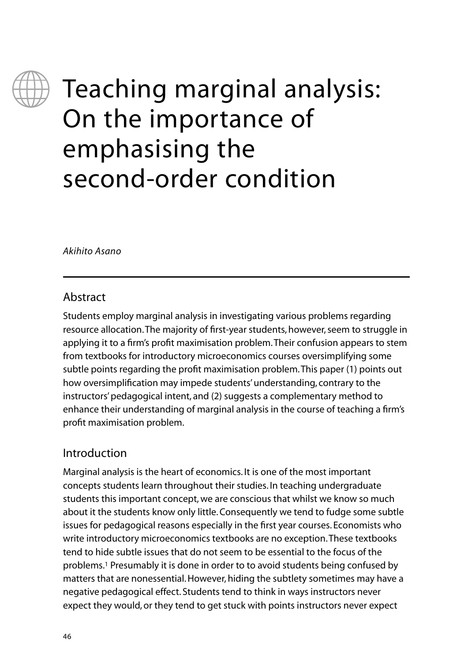

# Teaching marginal analysis: On the importance of emphasising the second-order condition

#### *Akihito Asano*

#### Abstract

Students employ marginal analysis in investigating various problems regarding resource allocation.The majority of first-year students, however, seem to struggle in applying it to a firm's profit maximisation problem.Their confusion appears to stem from textbooks for introductory microeconomics courses oversimplifying some subtle points regarding the profit maximisation problem.This paper (1) points out how oversimplification may impede students' understanding, contrary to the instructors' pedagogical intent, and (2) suggests a complementary method to enhance their understanding of marginal analysis in the course of teaching a firm's profit maximisation problem.

#### Introduction

Marginal analysis is the heart of economics. It is one of the most important concepts students learn throughout their studies. In teaching undergraduate students this important concept, we are conscious that whilst we know so much about it the students know only little. Consequently we tend to fudge some subtle issues for pedagogical reasons especially in the first year courses. Economists who write introductory microeconomics textbooks are no exception.These textbooks tend to hide subtle issues that do not seem to be essential to the focus of the problems. <sup>1</sup> Presumably it is done in order to to avoid students being confused by matters that are nonessential. However, hiding the subtlety sometimes may have a negative pedagogical effect. Students tend to think in ways instructors never expect they would, or they tend to get stuck with points instructors never expect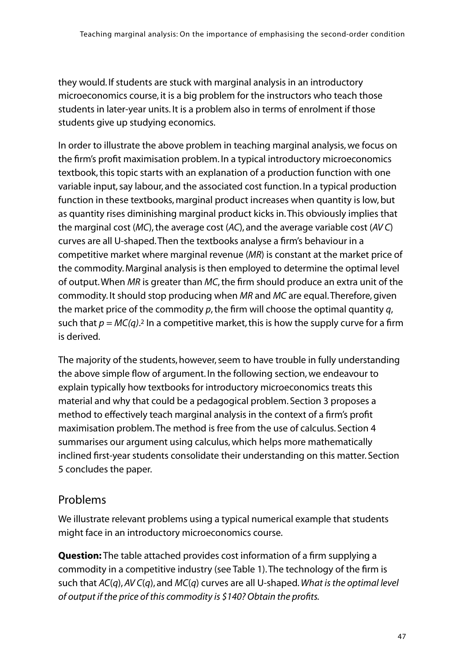they would. If students are stuck with marginal analysis in an introductory microeconomics course, it is a big problem for the instructors who teach those students in later-year units. It is a problem also in terms of enrolment if those students give up studying economics.

In order to illustrate the above problem in teaching marginal analysis, we focus on the firm's profit maximisation problem. In a typical introductory microeconomics textbook, this topic starts with an explanation of a production function with one variable input, say labour, and the associated cost function. In a typical production function in these textbooks, marginal product increases when quantity is low, but as quantity rises diminishing marginal product kicks in.This obviously implies that the marginal cost (*MC*), the average cost (*AC*), and the average variable cost (*AV C*) curves are all U-shaped.Then the textbooks analyse a firm's behaviour in a competitive market where marginal revenue (*MR*) is constant at the market price of the commodity. Marginal analysis is then employed to determine the optimal level of output.When *MR* is greater than *MC*, the firm should produce an extra unit of the commodity. It should stop producing when *MR* and *MC* are equal.Therefore, given the market price of the commodity *p*, the firm will choose the optimal quantity *q*, such that *p* = *MC(q)*. <sup>2</sup> In a competitive market, this is how the supply curve for a firm is derived.

The majority of the students, however, seem to have trouble in fully understanding the above simple flow of argument. In the following section, we endeavour to explain typically how textbooks for introductory microeconomics treats this material and why that could be a pedagogical problem. Section 3 proposes a method to effectively teach marginal analysis in the context of a firm's profit maximisation problem.The method is free from the use of calculus. Section 4 summarises our argument using calculus, which helps more mathematically inclined first-year students consolidate their understanding on this matter. Section 5 concludes the paper.

## Problems

We illustrate relevant problems using a typical numerical example that students might face in an introductory microeconomics course.

**Question:** The table attached provides cost information of a firm supplying a commodity in a competitive industry (see Table 1).The technology of the firm is such that *AC*(*q*), *AV C*(*q*), and *MC*(*q*) curves are all U-shaped.*What is the optimal level of output if the price of this commodity is \$140? Obtain the profits.*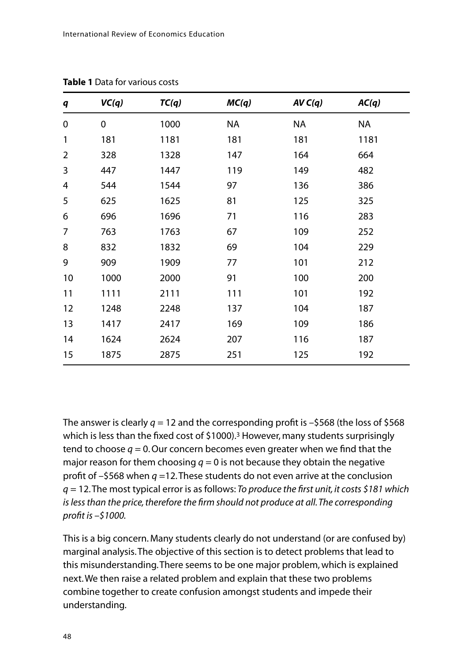| q  | VC(q) | TC(q) | MC(q) | AVC(q) | AC(q) |
|----|-------|-------|-------|--------|-------|
| 0  | 0     | 1000  | ΝA    | NA     | NA    |
| 1  | 181   | 1181  | 181   | 181    | 1181  |
| 2  | 328   | 1328  | 147   | 164    | 664   |
| 3  | 447   | 1447  | 119   | 149    | 482   |
| 4  | 544   | 1544  | 97    | 136    | 386   |
| 5  | 625   | 1625  | 81    | 125    | 325   |
| 6  | 696   | 1696  | 71    | 116    | 283   |
| 7  | 763   | 1763  | 67    | 109    | 252   |
| 8  | 832   | 1832  | 69    | 104    | 229   |
| 9  | 909   | 1909  | 77    | 101    | 212   |
| 10 | 1000  | 2000  | 91    | 100    | 200   |
| 11 | 1111  | 2111  | 111   | 101    | 192   |
| 12 | 1248  | 2248  | 137   | 104    | 187   |
| 13 | 1417  | 2417  | 169   | 109    | 186   |
| 14 | 1624  | 2624  | 207   | 116    | 187   |
| 15 | 1875  | 2875  | 251   | 125    | 192   |
|    |       |       |       |        |       |

**Table 1** Data for various costs

The answer is clearly *q* = 12 and the corresponding profit is –\$568 (the loss of \$568 which is less than the fixed cost of \$1000).<sup>3</sup> However, many students surprisingly tend to choose  $q = 0$ . Our concern becomes even greater when we find that the major reason for them choosing  $q = 0$  is not because they obtain the negative profit of –\$568 when *q* =12.These students do not even arrive at the conclusion *q* = 12.The most typical error is as follows: *To produce the first unit, it costs \$181 which is less than the price, therefore the firm should not produce at all.The corresponding profit is –\$1000.*

This is a big concern. Many students clearly do not understand (or are confused by) marginal analysis.The objective of this section is to detect problems that lead to this misunderstanding.There seems to be one major problem, which is explained next.We then raise a related problem and explain that these two problems combine together to create confusion amongst students and impede their understanding.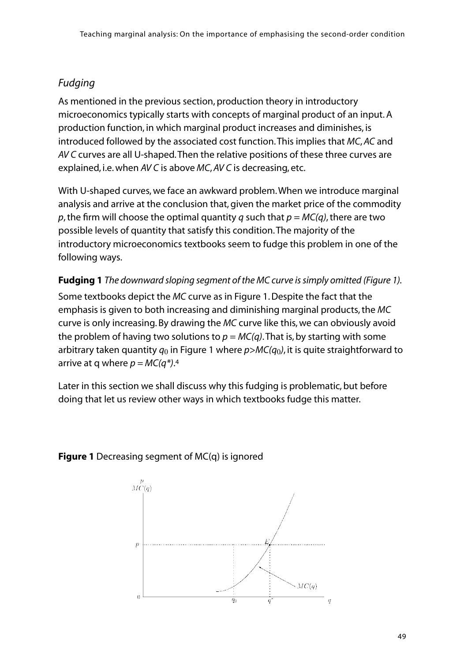## *Fudging*

As mentioned in the previous section, production theory in introductory microeconomics typically starts with concepts of marginal product of an input. A production function, in which marginal product increases and diminishes, is introduced followed by the associated cost function.This implies that *MC*, *AC* and *AV C* curves are all U-shaped.Then the relative positions of these three curves are explained, i.e. when *AV C* is above *MC*, *AV C* is decreasing, etc.

With U-shaped curves, we face an awkward problem.When we introduce marginal analysis and arrive at the conclusion that, given the market price of the commodity *p*, the firm will choose the optimal quantity *q* such that  $p = MC(q)$ , there are two possible levels of quantity that satisfy this condition.The majority of the introductory microeconomics textbooks seem to fudge this problem in one of the following ways.

#### **Fudging 1** *The downward sloping segment of the MC curve is simply omitted (Figure 1).*

Some textbooks depict the *MC* curve as in Figure 1. Despite the fact that the emphasis is given to both increasing and diminishing marginal products, the *MC* curve is only increasing. By drawing the *MC* curve like this, we can obviously avoid the problem of having two solutions to  $p = MC(q)$ . That is, by starting with some arbitrary taken quantity  $q_0$  in Figure 1 where  $p > MC(q_0)$ , it is quite straightforward to arrive at q where *p = MC(q\*)*. 4

Later in this section we shall discuss why this fudging is problematic, but before doing that let us review other ways in which textbooks fudge this matter.

## **Figure 1** Decreasing segment of MC(q) is ignored

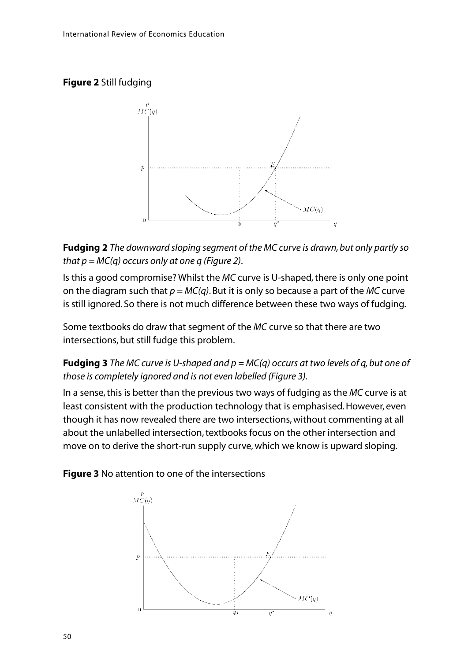



**Fudging 2** *The downward sloping segment of the MC curve is drawn, but only partly so that p = MC(q) occurs only at one q (Figure 2)*.

Is this a good compromise? Whilst the *MC* curve is U-shaped, there is only one point on the diagram such that *p = MC(q)*. But it is only so because a part of the *MC* curve is still ignored. So there is not much difference between these two ways of fudging.

Some textbooks do draw that segment of the *MC* curve so that there are two intersections, but still fudge this problem.

**Fudging 3** *The MC curve is U-shaped and p = MC(q) occurs at two levels of q, but one of those is completely ignored and is not even labelled (Figure 3).*

In a sense, this is better than the previous two ways of fudging as the *MC* curve is at least consistent with the production technology that is emphasised. However, even though it has now revealed there are two intersections, without commenting at all about the unlabelled intersection, textbooks focus on the other intersection and move on to derive the short-run supply curve, which we know is upward sloping.

**Figure 3** No attention to one of the intersections

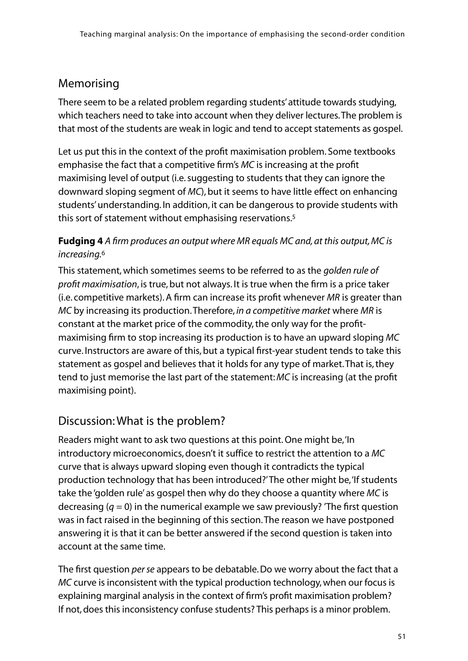# Memorising

There seem to be a related problem regarding students' attitude towards studying, which teachers need to take into account when they deliver lectures.The problem is that most of the students are weak in logic and tend to accept statements as gospel.

Let us put this in the context of the profit maximisation problem. Some textbooks emphasise the fact that a competitive firm's *MC* is increasing at the profit maximising level of output (i.e. suggesting to students that they can ignore the downward sloping segment of *MC*), but it seems to have little effect on enhancing students' understanding. In addition, it can be dangerous to provide students with this sort of statement without emphasising reservations.<sup>5</sup>

## **Fudging 4** *A firm produces an output where MR equals MC and, at this output, MC is increasing.*<sup>6</sup>

This statement, which sometimes seems to be referred to as the *golden rule of profit maximisation*, is true, but not always. It is true when the firm is a price taker (i.e. competitive markets). A firm can increase its profit whenever *MR* is greater than *MC* by increasing its production.Therefore, *in a competitive market* where *MR* is constant at the market price of the commodity, the only way for the profitmaximising firm to stop increasing its production is to have an upward sloping *MC* curve. Instructors are aware of this, but a typical first-year student tends to take this statement as gospel and believes that it holds for any type of market.That is, they tend to just memorise the last part of the statement:*MC* is increasing (at the profit maximising point).

# Discussion: What is the problem?

Readers might want to ask two questions at this point. One might be,'In introductory microeconomics, doesn't it suffice to restrict the attention to a *MC* curve that is always upward sloping even though it contradicts the typical production technology that has been introduced?'The other might be,'If students take the 'golden rule' as gospel then why do they choose a quantity where *MC* is decreasing  $(q = 0)$  in the numerical example we saw previously? The first question was in fact raised in the beginning of this section.The reason we have postponed answering it is that it can be better answered if the second question is taken into account at the same time.

The first question *per se* appears to be debatable. Do we worry about the fact that a *MC* curve is inconsistent with the typical production technology, when our focus is explaining marginal analysis in the context of firm's profit maximisation problem? If not,does this inconsistency confuse students? This perhaps is a minor problem.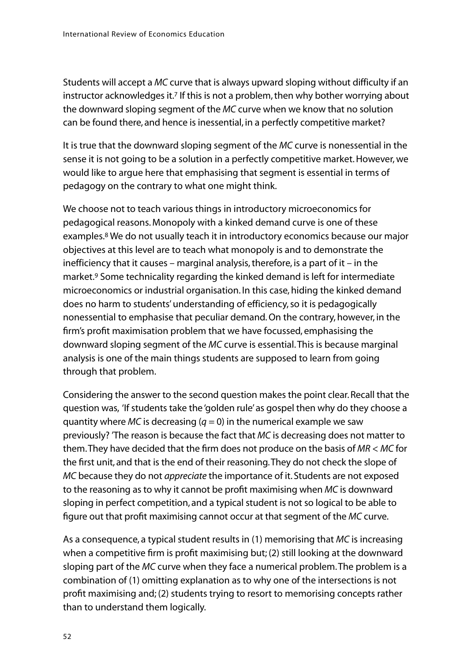Students will accept a *MC* curve that is always upward sloping without difficulty if an instructor acknowledges it.7 If this is not a problem, then why bother worrying about the downward sloping segment of the *MC* curve when we know that no solution can be found there, and hence is inessential, in a perfectly competitive market?

It is true that the downward sloping segment of the *MC* curve is nonessential in the sense it is not going to be a solution in a perfectly competitive market. However, we would like to argue here that emphasising that segment is essential in terms of pedagogy on the contrary to what one might think.

We choose not to teach various things in introductory microeconomics for pedagogical reasons. Monopoly with a kinked demand curve is one of these examples.8 We do not usually teach it in introductory economics because our major objectives at this level are to teach what monopoly is and to demonstrate the inefficiency that it causes – marginal analysis, therefore, is a part of it – in the market.9 Some technicality regarding the kinked demand is left for intermediate microeconomics or industrial organisation. In this case, hiding the kinked demand does no harm to students' understanding of efficiency, so it is pedagogically nonessential to emphasise that peculiar demand. On the contrary, however, in the firm's profit maximisation problem that we have focussed, emphasising the downward sloping segment of the *MC* curve is essential.This is because marginal analysis is one of the main things students are supposed to learn from going through that problem.

Considering the answer to the second question makes the point clear. Recall that the question was, 'If students take the 'golden rule' as gospel then why do they choose a quantity where  $MC$  is decreasing ( $q = 0$ ) in the numerical example we saw previously? 'The reason is because the fact that *MC* is decreasing does not matter to them.They have decided that the firm does not produce on the basis of *MR* < *MC* for the first unit, and that is the end of their reasoning.They do not check the slope of *MC* because they do not *appreciate* the importance of it. Students are not exposed to the reasoning as to why it cannot be profit maximising when *MC* is downward sloping in perfect competition, and a typical student is not so logical to be able to figure out that profit maximising cannot occur at that segment of the *MC* curve.

As a consequence, a typical student results in (1) memorising that *MC* is increasing when a competitive firm is profit maximising but; (2) still looking at the downward sloping part of the *MC* curve when they face a numerical problem.The problem is a combination of (1) omitting explanation as to why one of the intersections is not profit maximising and; (2) students trying to resort to memorising concepts rather than to understand them logically.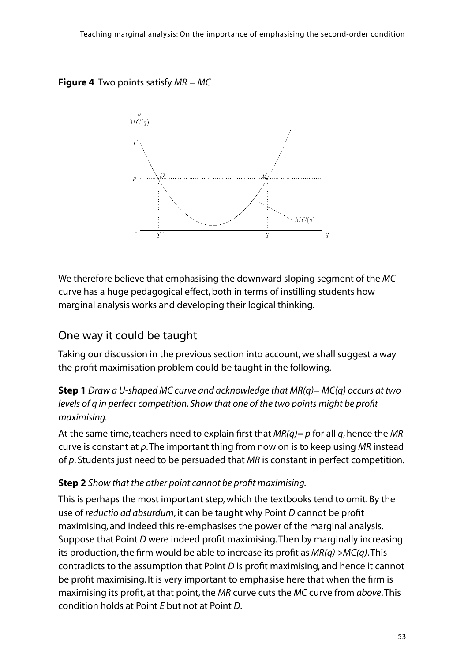**Figure 4** Two points satisfy *MR* = *MC*



We therefore believe that emphasising the downward sloping segment of the *MC* curve has a huge pedagogical effect, both in terms of instilling students how marginal analysis works and developing their logical thinking.

## One way it could be taught

Taking our discussion in the previous section into account, we shall suggest a way the profit maximisation problem could be taught in the following.

#### **Step 1** *Draw a U-shaped MC curve and acknowledge that MR(q)= MC(q) occurs at two levels of q in perfect competition. Show that one of the two points might be profit maximising.*

At the same time, teachers need to explain first that *MR(q)= p* for all *q*, hence the *MR* curve is constant at *p*.The important thing from now on is to keep using *MR* instead of *p*. Students just need to be persuaded that *MR* is constant in perfect competition.

## **Step 2** *Show that the other point cannot be profit maximising.*

This is perhaps the most important step, which the textbooks tend to omit. By the use of *reductio ad absurdum*, it can be taught why Point *D* cannot be profit maximising, and indeed this re-emphasises the power of the marginal analysis. Suppose that Point *D* were indeed profit maximising.Then by marginally increasing its production, the firm would be able to increase its profit as *MR(q) >MC(q)*.This contradicts to the assumption that Point *D* is profit maximising, and hence it cannot be profit maximising. It is very important to emphasise here that when the firm is maximising its profit, at that point, the *MR* curve cuts the *MC* curve from *above*.This condition holds at Point *E* but not at Point *D*.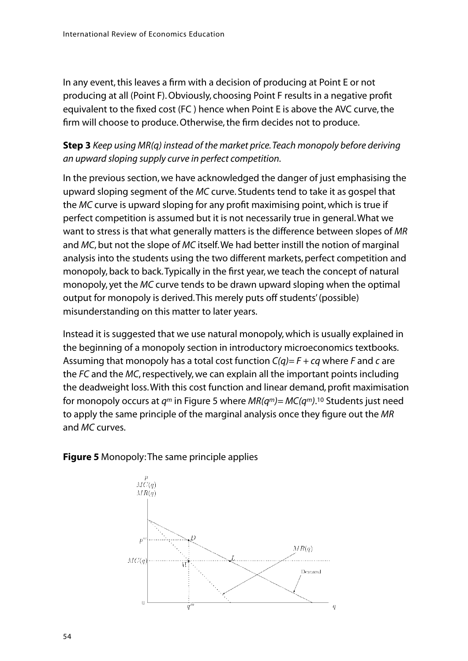In any event, this leaves a firm with a decision of producing at Point E or not producing at all (Point F). Obviously, choosing Point F results in a negative profit equivalent to the fixed cost (FC ) hence when Point E is above the AVC curve, the firm will choose to produce. Otherwise, the firm decides not to produce.

#### **Step 3** *Keep using MR(q) instead of the market price.Teach monopoly before deriving an upward sloping supply curve in perfect competition.*

In the previous section, we have acknowledged the danger of just emphasising the upward sloping segment of the *MC* curve. Students tend to take it as gospel that the *MC* curve is upward sloping for any profit maximising point, which is true if perfect competition is assumed but it is not necessarily true in general.What we want to stress is that what generally matters is the difference between slopes of *MR* and *MC*, but not the slope of *MC* itself.We had better instill the notion of marginal analysis into the students using the two different markets, perfect competition and monopoly, back to back.Typically in the first year, we teach the concept of natural monopoly, yet the *MC* curve tends to be drawn upward sloping when the optimal output for monopoly is derived.This merely puts off students' (possible) misunderstanding on this matter to later years.

Instead it is suggested that we use natural monopoly, which is usually explained in the beginning of a monopoly section in introductory microeconomics textbooks. Assuming that monopoly has a total cost function *C(q)= F + cq* where *F* and *c* are the *FC* and the *MC*, respectively, we can explain all the important points including the deadweight loss.With this cost function and linear demand, profit maximisation for monopoly occurs at *qm* in Figure 5 where *MR(qm)= MC(qm)*. <sup>10</sup> Students just need to apply the same principle of the marginal analysis once they figure out the *MR* and *MC* curves.



#### **Figure 5** Monopoly:The same principle applies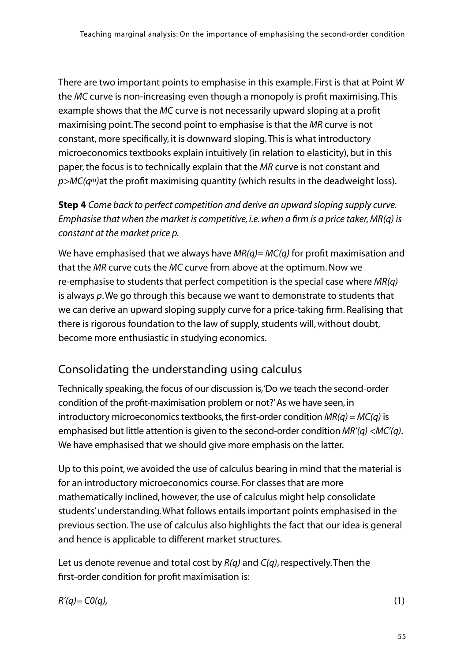There are two important points to emphasise in this example. First is that at Point *W* the *MC* curve is non-increasing even though a monopoly is profit maximising.This example shows that the *MC* curve is not necessarily upward sloping at a profit maximising point.The second point to emphasise is that the *MR* curve is not constant, more specifically, it is downward sloping.This is what introductory microeconomics textbooks explain intuitively (in relation to elasticity), but in this paper, the focus is to technically explain that the *MR* curve is not constant and *p>MC(qm)*at the profit maximising quantity (which results in the deadweight loss).

**Step 4** *Come back to perfect competition and derive an upward sloping supply curve. Emphasise that when the market is competitive, i.e. when a firm is a price taker, MR(q) is constant at the market price p.*

We have emphasised that we always have *MR(q)= MC(q)* for profit maximisation and that the *MR* curve cuts the *MC* curve from above at the optimum. Now we re-emphasise to students that perfect competition is the special case where *MR(q)* is always *p*.We go through this because we want to demonstrate to students that we can derive an upward sloping supply curve for a price-taking firm. Realising that there is rigorous foundation to the law of supply, students will, without doubt, become more enthusiastic in studying economics.

# Consolidating the understanding using calculus

Technically speaking, the focus of our discussion is,'Do we teach the second-order condition of the profit-maximisation problem or not?'As we have seen, in introductory microeconomics textbooks, the first-order condition *MR(q) = MC(q)* is emphasised but little attention is given to the second-order condition *MR'(q) <MC'(q)*. We have emphasised that we should give more emphasis on the latter.

Up to this point, we avoided the use of calculus bearing in mind that the material is for an introductory microeconomics course. For classes that are more mathematically inclined, however, the use of calculus might help consolidate students'understanding.What follows entails important points emphasised in the previous section.The use of calculus also highlights the fact that our idea is general and hence is applicable to different market structures.

Let us denote revenue and total cost by  $R(q)$  and  $C(q)$ , respectively. Then the first-order condition for profit maximisation is:

*R'(q)= C0(q),* (1)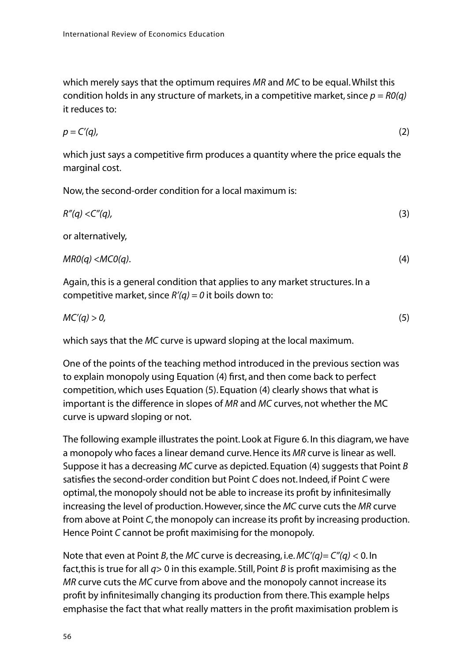which merely says that the optimum requires *MR* and *MC* to be equal.Whilst this condition holds in any structure of markets, in a competitive market, since *p* = *R0(q)* it reduces to:

$$
p = C'(q),
$$
 (2)

which just says a competitive firm produces a quantity where the price equals the marginal cost.

Now, the second-order condition for a local maximum is:

| $R''(q) < C''(q)$ ,                                                                                                                       | (3) |
|-------------------------------------------------------------------------------------------------------------------------------------------|-----|
| or alternatively,                                                                                                                         |     |
| $MRO(q) < MCO(q)$ .                                                                                                                       | (4) |
| Again, this is a general condition that applies to any market structures. In a<br>competitive market, since $R'(q) = 0$ it boils down to: |     |
| $MC'(q) > 0$ ,                                                                                                                            |     |

which says that the *MC* curve is upward sloping at the local maximum.

One of the points of the teaching method introduced in the previous section was to explain monopoly using Equation (4) first, and then come back to perfect competition, which uses Equation (5). Equation (4) clearly shows that what is important is the difference in slopes of *MR* and *MC* curves, not whether the MC curve is upward sloping or not.

The following example illustrates the point. Look at Figure 6. In this diagram, we have a monopoly who faces a linear demand curve. Hence its *MR* curve is linear as well. Suppose it has a decreasing *MC* curve as depicted. Equation (4) suggests that Point *B* satisfies the second-order condition but Point *C* does not. Indeed, if Point *C* were optimal, the monopoly should not be able to increase its profit by infinitesimally increasing the level of production. However, since the *MC* curve cuts the *MR* curve from above at Point *C*,the monopoly can increase its profit by increasing production. Hence Point *C* cannot be profit maximising for the monopoly.

Note that even at Point *B*, the *MC* curve is decreasing, i.e.*MC'(q)= C''(q)* < 0. In fact,this is true for all *q*> 0 in this example. Still, Point *B* is profit maximising as the *MR* curve cuts the *MC* curve from above and the monopoly cannot increase its profit by infinitesimally changing its production from there.This example helps emphasise the fact that what really matters in the profit maximisation problem is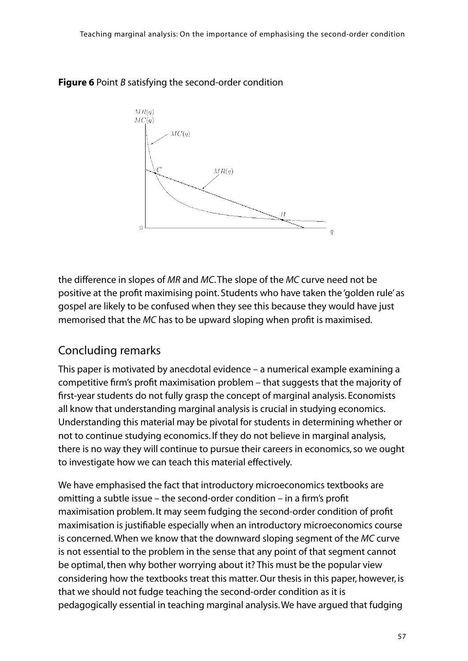

#### **Figure 6** Point *B* satisfying the second-order condition

the difference in slopes of *MR* and *MC*.The slope of the *MC* curve need not be positive at the profit maximising point. Students who have taken the 'golden rule' as gospel are likely to be confused when they see this because they would have just memorised that the *MC* has to be upward sloping when profit is maximised.

## Concluding remarks

This paper is motivated by anecdotal evidence – a numerical example examining a competitive firm's profit maximisation problem – that suggests that the majority of first-year students do not fully grasp the concept of marginal analysis. Economists all know that understanding marginal analysis is crucial in studying economics. Understanding this material may be pivotal for students in determining whether or not to continue studying economics. If they do not believe in marginal analysis, there is no way they will continue to pursue their careers in economics, so we ought to investigate how we can teach this material effectively.

We have emphasised the fact that introductory microeconomics textbooks are omitting a subtle issue – the second-order condition – in a firm's profit maximisation problem. It may seem fudging the second-order condition of profit maximisation is justifiable especially when an introductory microeconomics course is concerned.When we know that the downward sloping segment of the *MC* curve is not essential to the problem in the sense that any point of that segment cannot be optimal, then why bother worrying about it? This must be the popular view considering how the textbooks treat this matter. Our thesis in this paper, however, is that we should not fudge teaching the second-order condition as it is pedagogically essential in teaching marginal analysis.We have argued that fudging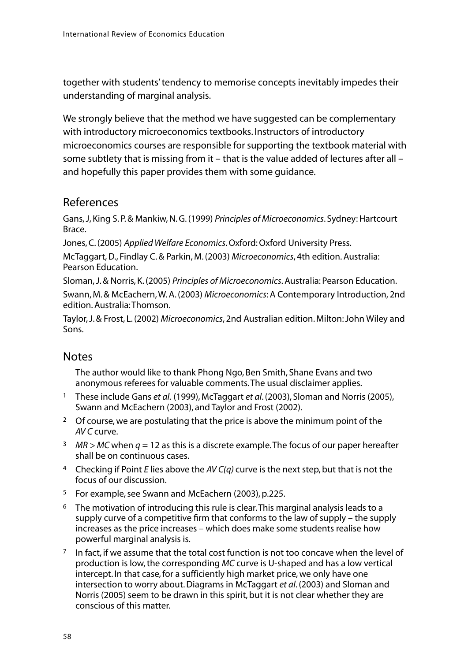together with students' tendency to memorise concepts inevitably impedes their understanding of marginal analysis.

We strongly believe that the method we have suggested can be complementary with introductory microeconomics textbooks. Instructors of introductory microeconomics courses are responsible for supporting the textbook material with some subtlety that is missing from it – that is the value added of lectures after all – and hopefully this paper provides them with some guidance.

## References

Gans, J, King S. P. & Mankiw, N. G. (1999) *Principles of Microeconomics*. Sydney: Hartcourt **Brace** 

Jones, C. (2005) *Applied Welfare Economics*. Oxford: Oxford University Press.

McTaggart, D., Findlay C. & Parkin, M. (2003) *Microeconomics*, 4th edition. Australia: Pearson Education.

Sloman, J. & Norris, K. (2005) *Principles of Microeconomics*. Australia: Pearson Education. Swann, M. & McEachern, W. A. (2003) *Microeconomics*: A Contemporary Introduction, 2nd edition. Australia:Thomson.

Taylor, J. & Frost, L. (2002) *Microeconomics*, 2nd Australian edition. Milton: John Wiley and Sons.

## **Notes**

The author would like to thank Phong Ngo, Ben Smith, Shane Evans and two anonymous referees for valuable comments.The usual disclaimer applies.

- <sup>1</sup> These include Gans *et al.* (1999), McTaggart *et al*.(2003), Sloman and Norris (2005), Swann and McEachern (2003), and Taylor and Frost (2002).
- <sup>2</sup> Of course, we are postulating that the price is above the minimum point of the *AV C* curve.
- <sup>3</sup>  $MR > MC$  when  $a = 12$  as this is a discrete example. The focus of our paper hereafter shall be on continuous cases.
- <sup>4</sup> Checking if Point *E* lies above the *AV C(q)* curve is the next step, but that is not the focus of our discussion.
- 5 For example, see Swann and McEachern (2003), p.225.
- 6 The motivation of introducing this rule is clear.This marginal analysis leads to a supply curve of a competitive firm that conforms to the law of supply – the supply increases as the price increases – which does make some students realise how powerful marginal analysis is.
- $7$  In fact, if we assume that the total cost function is not too concave when the level of production is low, the corresponding *MC* curve is U-shaped and has a low vertical intercept. In that case, for a sufficiently high market price, we only have one intersection to worry about. Diagrams in McTaggart *et al*.(2003) and Sloman and Norris (2005) seem to be drawn in this spirit, but it is not clear whether they are conscious of this matter.